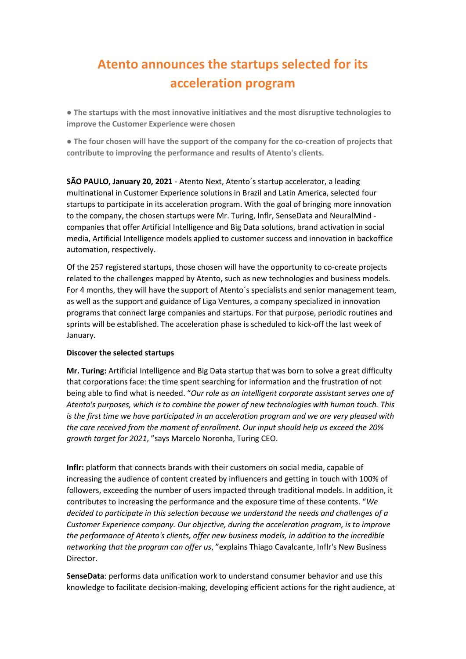# **Atento announces the startups selected for its acceleration program**

**● The startups with the most innovative initiatives and the most disruptive technologies to improve the Customer Experience were chosen**

**● The four chosen will have the support of the company for the co-creation of projects that contribute to improving the performance and results of Atento's clients.**

**SÃO PAULO, January 20, 2021 -** Atento Next, Atento´s startup accelerator, a leading multinational in Customer Experience solutions in Brazil and Latin America, selected four startups to participate in its acceleration program. With the goal of bringing more innovation to the company, the chosen startups were Mr. Turing, Inflr, SenseData and NeuralMind companies that offer Artificial Intelligence and Big Data solutions, brand activation in social media, Artificial Intelligence models applied to customer success and innovation in backoffice automation, respectively.

Of the 257 registered startups, those chosen will have the opportunity to co-create projects related to the challenges mapped by Atento, such as new technologies and business models. For 4 months, they will have the support of Atento´s specialists and senior management team, as well as the support and guidance of Liga Ventures, a company specialized in innovation programs that connect large companies and startups. For that purpose, periodic routines and sprints will be established. The acceleration phase is scheduled to kick-off the last week of January.

## **Discover the selected startups**

**Mr. Turing:** Artificial Intelligence and Big Data startup that was born to solve a great difficulty that corporations face: the time spent searching for information and the frustration of not being able to find what is needed. "*Our role as an intelligent corporate assistant serves one of Atento's purposes, which is to combine the power of new technologies with human touch. This is the first time we have participated in an acceleration program and we are very pleased with the care received from the moment of enrollment. Our input should help us exceed the 20% growth target for 2021*, "says Marcelo Noronha, Turing CEO.

**Inflr:** platform that connects brands with their customers on social media, capable of increasing the audience of content created by influencers and getting in touch with 100% of followers, exceeding the number of users impacted through traditional models. In addition, it contributes to increasing the performance and the exposure time of these contents. "*We decided to participate in this selection because we understand the needs and challenges of a Customer Experience company. Our objective, during the acceleration program, is to improve the performance of Atento's clients, offer new business models, in addition to the incredible networking that the program can offer us*, "explains Thiago Cavalcante, Inflr's New Business Director.

**SenseData**: performs data unification work to understand consumer behavior and use this knowledge to facilitate decision-making, developing efficient actions for the right audience, at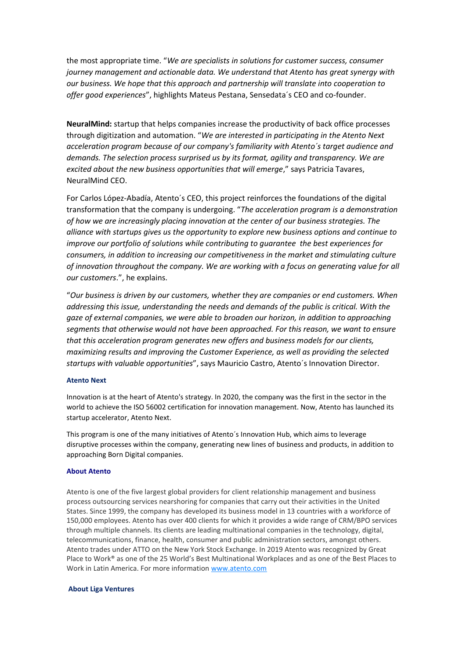the most appropriate time. "*We are specialists in solutions for customer success, consumer journey management and actionable data. We understand that Atento has great synergy with our business. We hope that this approach and partnership will translate into cooperation to offer good experiences*", highlights Mateus Pestana, Sensedata´s CEO and co-founder.

**NeuralMind:** startup that helps companies increase the productivity of back office processes through digitization and automation. "*We are interested in participating in the Atento Next acceleration program because of our company's familiarity with Atento´s target audience and demands. The selection process surprised us by its format, agility and transparency. We are excited about the new business opportunities that will emerge*," says Patricia Tavares, NeuralMind CEO.

For Carlos López-Abadía, Atento´s CEO, this project reinforces the foundations of the digital transformation that the company is undergoing. "*The acceleration program is a demonstration of how we are increasingly placing innovation at the center of our business strategies. The alliance with startups gives us the opportunity to explore new business options and continue to improve our portfolio of solutions while contributing to guarantee the best experiences for consumers, in addition to increasing our competitiveness in the market and stimulating culture of innovation throughout the company. We are working with a focus on generating value for all our customers*.", he explains.

"*Our business is driven by our customers, whether they are companies or end customers. When addressing this issue, understanding the needs and demands of the public is critical. With the gaze of external companies, we were able to broaden our horizon, in addition to approaching segments that otherwise would not have been approached. For this reason, we want to ensure that this acceleration program generates new offers and business models for our clients, maximizing results and improving the Customer Experience, as well as providing the selected startups with valuable opportunities*", says Mauricio Castro, Atento´s Innovation Director.

#### **Atento Next**

Innovation is at the heart of Atento's strategy. In 2020, the company was the first in the sector in the world to achieve the ISO 56002 certification for innovation management. Now, Atento has launched its startup accelerator, Atento Next.

This program is one of the many initiatives of Atento´s Innovation Hub, which aims to leverage disruptive processes within the company, generating new lines of business and products, in addition to approaching Born Digital companies.

#### **About Atento**

Atento is one of the five largest global providers for client relationship management and business process outsourcing services nearshoring for companies that carry out their activities in the United States. Since 1999, the company has developed its business model in 13 countries with a workforce of 150,000 employees. Atento has over 400 clients for which it provides a wide range of CRM/BPO services through multiple channels. Its clients are leading multinational companies in the technology, digital, telecommunications, finance, health, consumer and public administration sectors, amongst others. Atento trades under ATTO on the New York Stock Exchange. In 2019 Atento was recognized by Great Place to Work® as one of the 25 World's Best Multinational Workplaces and as one of the Best Places to Work in Latin America. For more information [www.atento.com](https://www.atento.com/)

#### **About Liga Ventures**